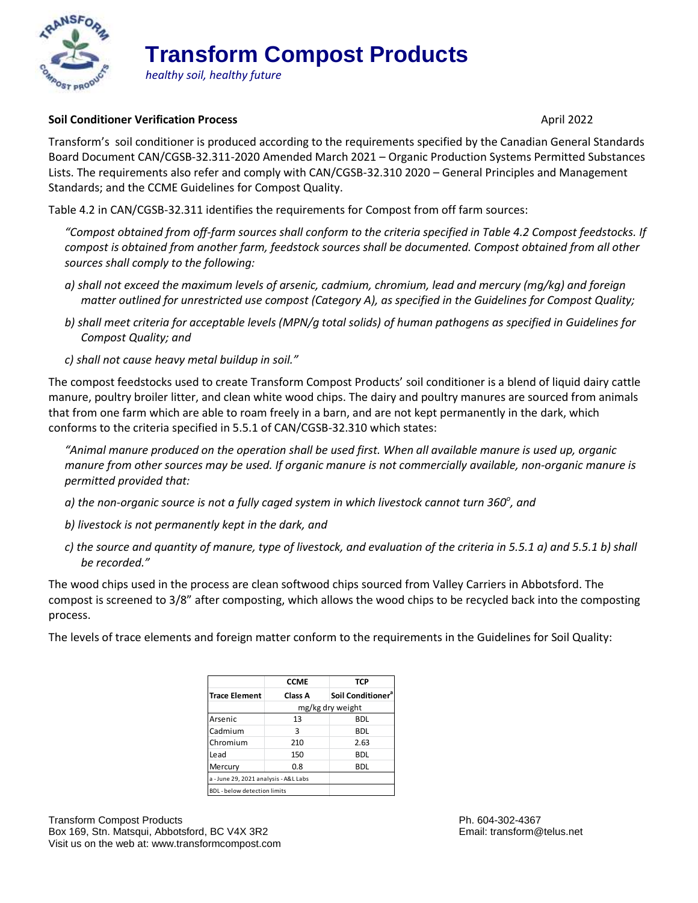

## **Transform Compost Products**

*healthy soil, healthy future*

## **Soil Conditioner Verification Process** April 2022

Transform's soil conditioner is produced according to the requirements specified by the Canadian General Standards Board Document CAN/CGSB-32.311-2020 Amended March 2021 – Organic Production Systems Permitted Substances Lists. The requirements also refer and comply with CAN/CGSB-32.310 2020 – General Principles and Management Standards; and the CCME Guidelines for Compost Quality.

Table 4.2 in CAN/CGSB-32.311 identifies the requirements for Compost from off farm sources:

*"Compost obtained from off-farm sources shall conform to the criteria specified in Table 4.2 Compost feedstocks. If compost is obtained from another farm, feedstock sources shall be documented. Compost obtained from all other sources shall comply to the following:*

- *a) shall not exceed the maximum levels of arsenic, cadmium, chromium, lead and mercury (mg/kg) and foreign matter outlined for unrestricted use compost (Category A), as specified in the Guidelines for Compost Quality;*
- *b) shall meet criteria for acceptable levels (MPN/g total solids) of human pathogens as specified in Guidelines for Compost Quality; and*
- *c) shall not cause heavy metal buildup in soil."*

The compost feedstocks used to create Transform Compost Products' soil conditioner is a blend of liquid dairy cattle manure, poultry broiler litter, and clean white wood chips. The dairy and poultry manures are sourced from animals that from one farm which are able to roam freely in a barn, and are not kept permanently in the dark, which conforms to the criteria specified in 5.5.1 of CAN/CGSB-32.310 which states:

*"Animal manure produced on the operation shall be used first. When all available manure is used up, organic manure from other sources may be used. If organic manure is not commercially available, non-organic manure is permitted provided that:* 

- *a) the non-organic source is not a fully caged system in which livestock cannot turn 360<sup>o</sup> , and*
- *b) livestock is not permanently kept in the dark, and*
- *c) the source and quantity of manure, type of livestock, and evaluation of the criteria in 5.5.1 a) and 5.5.1 b) shall be recorded."*

The wood chips used in the process are clean softwood chips sourced from Valley Carriers in Abbotsford. The compost is screened to 3/8" after composting, which allows the wood chips to be recycled back into the composting process.

The levels of trace elements and foreign matter conform to the requirements in the Guidelines for Soil Quality:

|                                       | <b>CCME</b>      | TCP                           |
|---------------------------------------|------------------|-------------------------------|
| <b>Trace Element</b>                  | Class A          | Soil Conditioner <sup>a</sup> |
|                                       | mg/kg dry weight |                               |
| Arsenic                               | 13               | <b>BDL</b>                    |
| Cadmium                               | 3                | <b>BDL</b>                    |
| Chromium                              | 210              | 2.63                          |
| Lead                                  | 150              | <b>BDL</b>                    |
| Mercury                               | 0.8              | BDL                           |
| a - June 29, 2021 analysis - A&L Labs |                  |                               |
| <b>BDL</b> - below detection limits   |                  |                               |